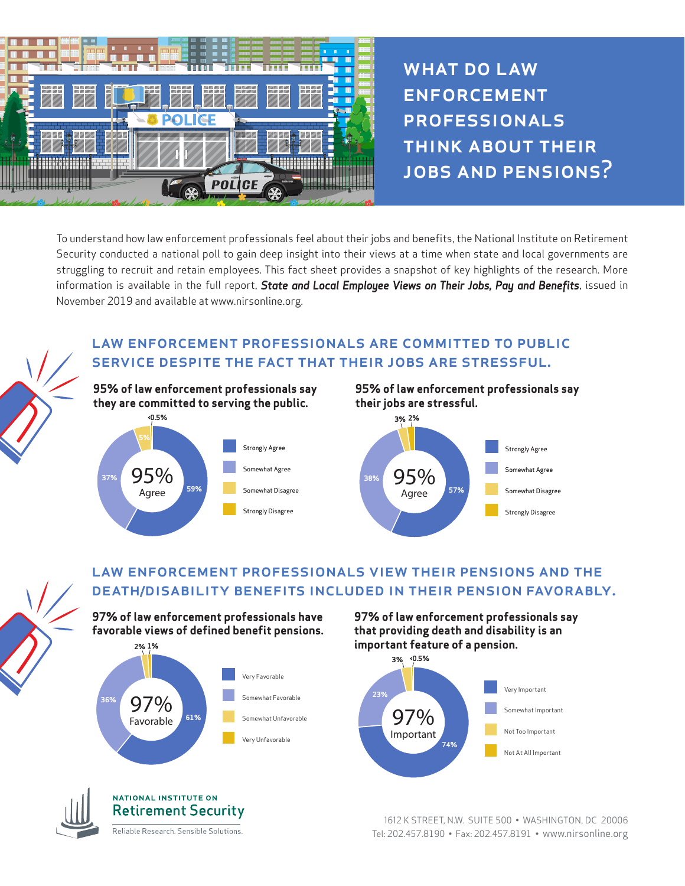

WHAT DO LAW **ENFORCEMENT PROFESSIONALS** think about their jobs and pensions?

To understand how law enforcement professionals feel about their jobs and benefits, the National Institute on Retirement Security conducted a national poll to gain deep insight into their views at a time when state and local governments are struggling to recruit and retain employees. This fact sheet provides a snapshot of key highlights of the research. More information is available in the full report, *State and Local Employee Views on Their Jobs, Pay and Benefits*, issued in November 2019 and available at www.nirsonline.org.

### law enforcement professionals are committed to public service despite the fact that their jobs are stressful.



**95% of law enforcement professionals say their jobs are stressful.**



## law enforcement professionals view their pensions and the death/disability benefits included in their pension favorably.

**97% of law enforcement professionals have favorable views of defined benefit pensions.** 





### **NATIONAL INSTITUTE ON Retirement Security**

Reliable Research. Sensible Solutions.

**97% of law enforcement professionals say that providing death and disability is an important feature of a pension.** 



1612 K STREET, N.W. SUITE 500 • WASHINGTON, DC 20006 Tel: 202.457.8190 • Fax: 202.457.8191 • www.nirsonline.org